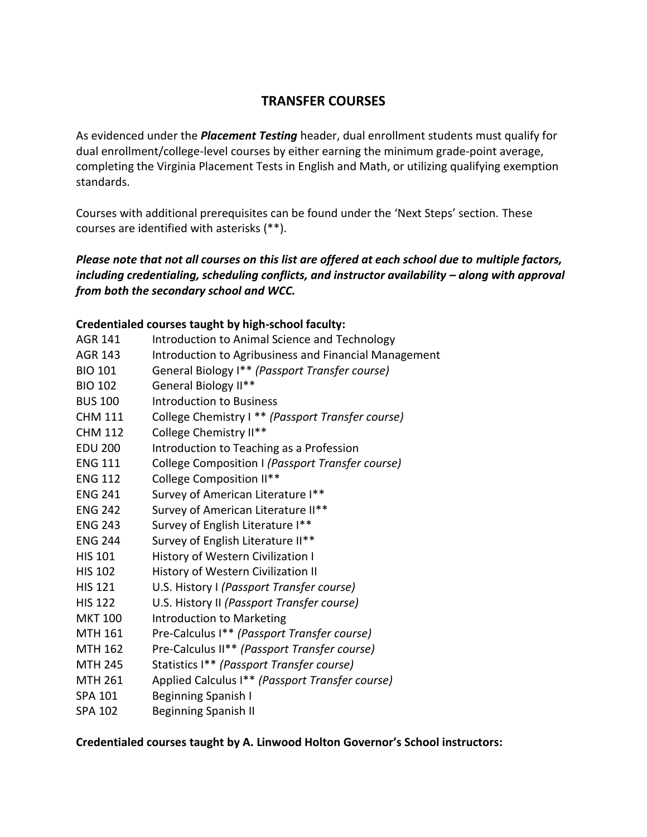# **TRANSFER COURSES**

As evidenced under the *Placement Testing* header, dual enrollment students must qualify for dual enrollment/college-level courses by either earning the minimum grade-point average, completing the Virginia Placement Tests in English and Math, or utilizing qualifying exemption standards.

Courses with additional prerequisites can be found under the 'Next Steps' section. These courses are identified with asterisks (\*\*).

## *Please note that not all courses on this list are offered at each school due to multiple factors, including credentialing, scheduling conflicts, and instructor availability – along with approval from both the secondary school and WCC.*

## **Credentialed courses taught by high-school faculty:**

- AGR 141 Introduction to Animal Science and Technology
- AGR 143 Introduction to Agribusiness and Financial Management
- BIO 101 General Biology I\*\* *(Passport Transfer course)*
- BIO 102 General Biology II\*\*
- BUS 100 Introduction to Business
- CHM 111 College Chemistry I \*\* *(Passport Transfer course)*
- CHM 112 College Chemistry II\*\*
- EDU 200 Introduction to Teaching as a Profession
- ENG 111 College Composition I *(Passport Transfer course)*
- ENG 112 College Composition II\*\*
- ENG 241 Survey of American Literature I\*\*
- ENG 242 Survey of American Literature II\*\*
- ENG 243 Survey of English Literature I\*\*
- ENG 244 Survey of English Literature II\*\*
- HIS 101 History of Western Civilization I
- HIS 102 History of Western Civilization II
- HIS 121 U.S. History I *(Passport Transfer course)*
- HIS 122 U.S. History II *(Passport Transfer course)*
- MKT 100 Introduction to Marketing
- MTH 161 Pre-Calculus I\*\* *(Passport Transfer course)*
- MTH 162 Pre-Calculus II\*\* *(Passport Transfer course)*
- MTH 245 Statistics I\*\* *(Passport Transfer course)*
- MTH 261 Applied Calculus I\*\* *(Passport Transfer course)*
- SPA 101 Beginning Spanish I
- SPA 102 Beginning Spanish II

#### **Credentialed courses taught by A. Linwood Holton Governor's School instructors:**